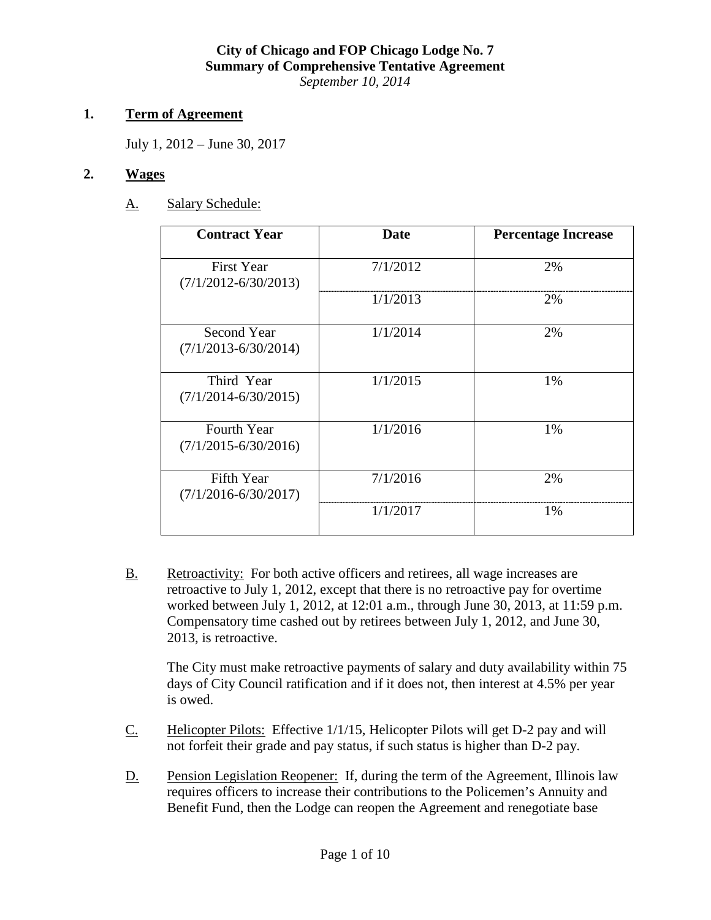#### **1. Term of Agreement**

July 1, 2012 – June 30, 2017

## **2. Wages**

## A. Salary Schedule:

| <b>Contract Year</b>                           | Date     | <b>Percentage Increase</b> |  |
|------------------------------------------------|----------|----------------------------|--|
| <b>First Year</b><br>$(7/1/2012 - 6/30/2013)$  | 7/1/2012 | 2%                         |  |
|                                                | 1/1/2013 | 2%                         |  |
| Second Year<br>$(7/1/2013 - 6/30/2014)$        | 1/1/2014 | 2%                         |  |
| Third Year<br>$(7/1/2014 - 6/30/2015)$         | 1/1/2015 | 1%                         |  |
| <b>Fourth Year</b><br>$(7/1/2015 - 6/30/2016)$ | 1/1/2016 | 1%                         |  |
| Fifth Year<br>$(7/1/2016 - 6/30/2017)$         | 7/1/2016 | 2%                         |  |
|                                                | 1/1/2017 | 1%                         |  |

B. Retroactivity: For both active officers and retirees, all wage increases are retroactive to July 1, 2012, except that there is no retroactive pay for overtime worked between July 1, 2012, at 12:01 a.m., through June 30, 2013, at 11:59 p.m. Compensatory time cashed out by retirees between July 1, 2012, and June 30, 2013, is retroactive.

The City must make retroactive payments of salary and duty availability within 75 days of City Council ratification and if it does not, then interest at 4.5% per year is owed.

- C. Helicopter Pilots: Effective 1/1/15, Helicopter Pilots will get D-2 pay and will not forfeit their grade and pay status, if such status is higher than D-2 pay.
- D. Pension Legislation Reopener: If, during the term of the Agreement, Illinois law requires officers to increase their contributions to the Policemen's Annuity and Benefit Fund, then the Lodge can reopen the Agreement and renegotiate base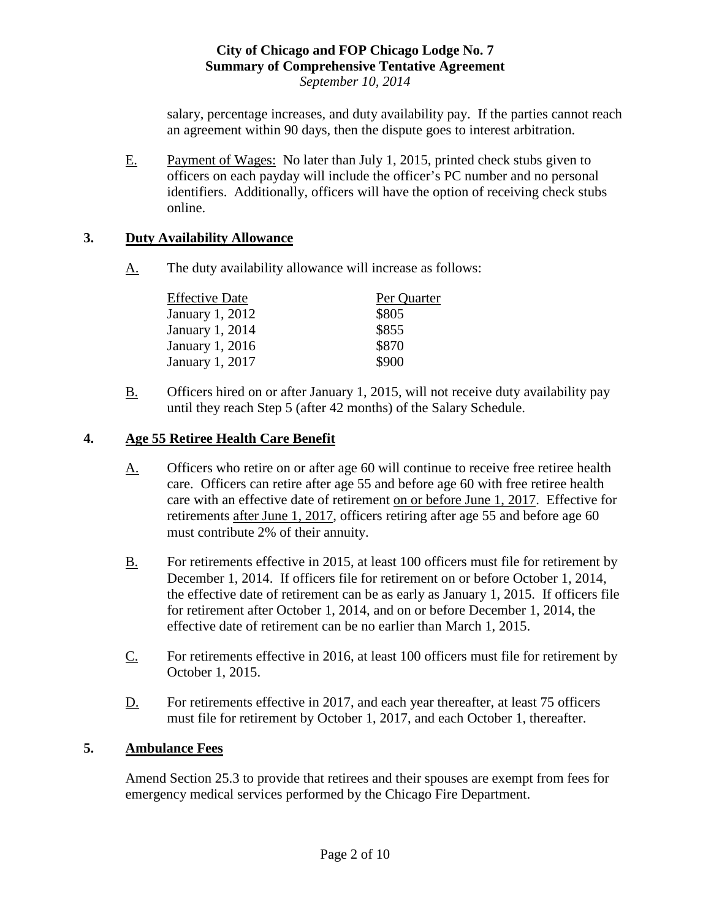salary, percentage increases, and duty availability pay. If the parties cannot reach an agreement within 90 days, then the dispute goes to interest arbitration.

E. Payment of Wages: No later than July 1, 2015, printed check stubs given to officers on each payday will include the officer's PC number and no personal identifiers. Additionally, officers will have the option of receiving check stubs online.

## **3. Duty Availability Allowance**

A. The duty availability allowance will increase as follows:

| <b>Effective Date</b> | Per Quarter |  |  |
|-----------------------|-------------|--|--|
| January 1, 2012       | \$805       |  |  |
| January 1, 2014       | \$855       |  |  |
| January 1, 2016       | \$870       |  |  |
| January 1, 2017       | \$900       |  |  |

B. Officers hired on or after January 1, 2015, will not receive duty availability pay until they reach Step 5 (after 42 months) of the Salary Schedule.

# **4. Age 55 Retiree Health Care Benefit**

- A. Officers who retire on or after age 60 will continue to receive free retiree health care. Officers can retire after age 55 and before age 60 with free retiree health care with an effective date of retirement on or before June 1, 2017. Effective for retirements after June 1, 2017, officers retiring after age 55 and before age 60 must contribute 2% of their annuity.
- B. For retirements effective in 2015, at least 100 officers must file for retirement by December 1, 2014. If officers file for retirement on or before October 1, 2014, the effective date of retirement can be as early as January 1, 2015. If officers file for retirement after October 1, 2014, and on or before December 1, 2014, the effective date of retirement can be no earlier than March 1, 2015.
- $C.$  For retirements effective in 2016, at least 100 officers must file for retirement by October 1, 2015.
- D. For retirements effective in 2017, and each year thereafter, at least 75 officers must file for retirement by October 1, 2017, and each October 1, thereafter.

# **5. Ambulance Fees**

Amend Section 25.3 to provide that retirees and their spouses are exempt from fees for emergency medical services performed by the Chicago Fire Department.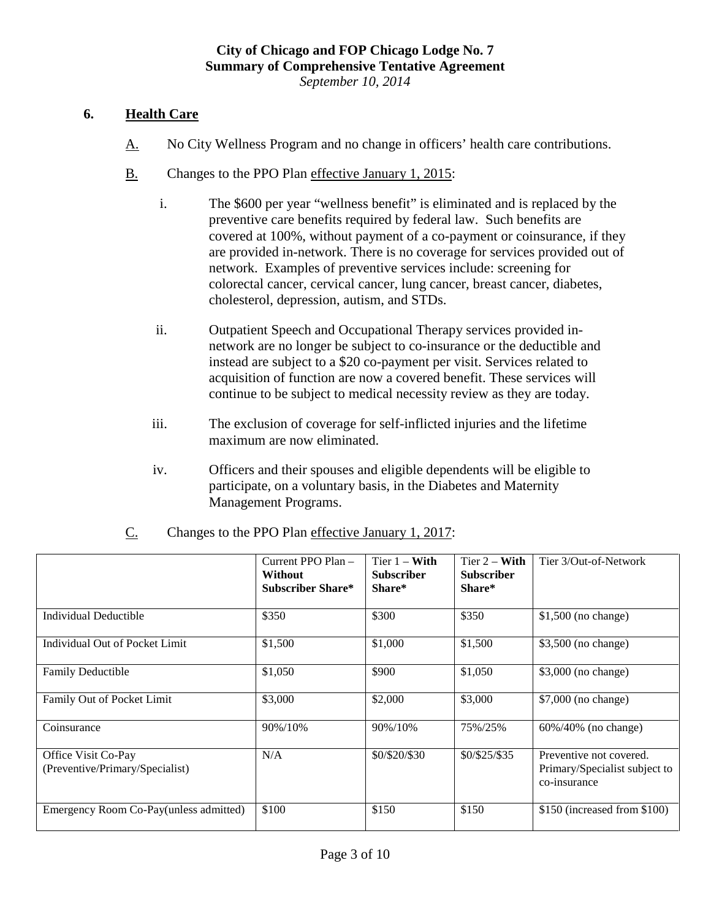## **6. Health Care**

- A. No City Wellness Program and no change in officers' health care contributions.
- B. Changes to the PPO Plan effective January 1, 2015:
	- i. The \$600 per year "wellness benefit" is eliminated and is replaced by the preventive care benefits required by federal law. Such benefits are covered at 100%, without payment of a co-payment or coinsurance, if they are provided in-network. There is no coverage for services provided out of network. Examples of preventive services include: screening for colorectal cancer, cervical cancer, lung cancer, breast cancer, diabetes, cholesterol, depression, autism, and STDs.
	- ii. Outpatient Speech and Occupational Therapy services provided innetwork are no longer be subject to co-insurance or the deductible and instead are subject to a \$20 co-payment per visit. Services related to acquisition of function are now a covered benefit. These services will continue to be subject to medical necessity review as they are today.
	- iii. The exclusion of coverage for self-inflicted injuries and the lifetime maximum are now eliminated.
	- iv. Officers and their spouses and eligible dependents will be eligible to participate, on a voluntary basis, in the Diabetes and Maternity Management Programs.

|                                                        | Current PPO Plan -<br><b>Without</b><br>Subscriber Share* | Tier $1 - With$<br><b>Subscriber</b><br>Share* | Tier $2 - With$<br><b>Subscriber</b><br>Share* | Tier 3/Out-of-Network                                                    |
|--------------------------------------------------------|-----------------------------------------------------------|------------------------------------------------|------------------------------------------------|--------------------------------------------------------------------------|
| Individual Deductible                                  | \$350                                                     | \$300                                          | \$350                                          | $$1,500$ (no change)                                                     |
| Individual Out of Pocket Limit                         | \$1,500                                                   | \$1,000                                        | \$1,500                                        | \$3,500 (no change)                                                      |
| <b>Family Deductible</b>                               | \$1,050                                                   | \$900                                          | \$1,050                                        | \$3,000 (no change)                                                      |
| Family Out of Pocket Limit                             | \$3,000                                                   | \$2,000                                        | \$3,000                                        | \$7,000 (no change)                                                      |
| Coinsurance                                            | 90%/10%                                                   | 90%/10%                                        | 75%/25%                                        | 60%/40% (no change)                                                      |
| Office Visit Co-Pay<br>(Preventive/Primary/Specialist) | N/A                                                       | \$0/\$20/\$30                                  | \$0/\$25/\$35                                  | Preventive not covered.<br>Primary/Specialist subject to<br>co-insurance |
| Emergency Room Co-Pay(unless admitted)                 | \$100                                                     | \$150                                          | \$150                                          | \$150 (increased from \$100)                                             |

C. Changes to the PPO Plan effective January 1, 2017: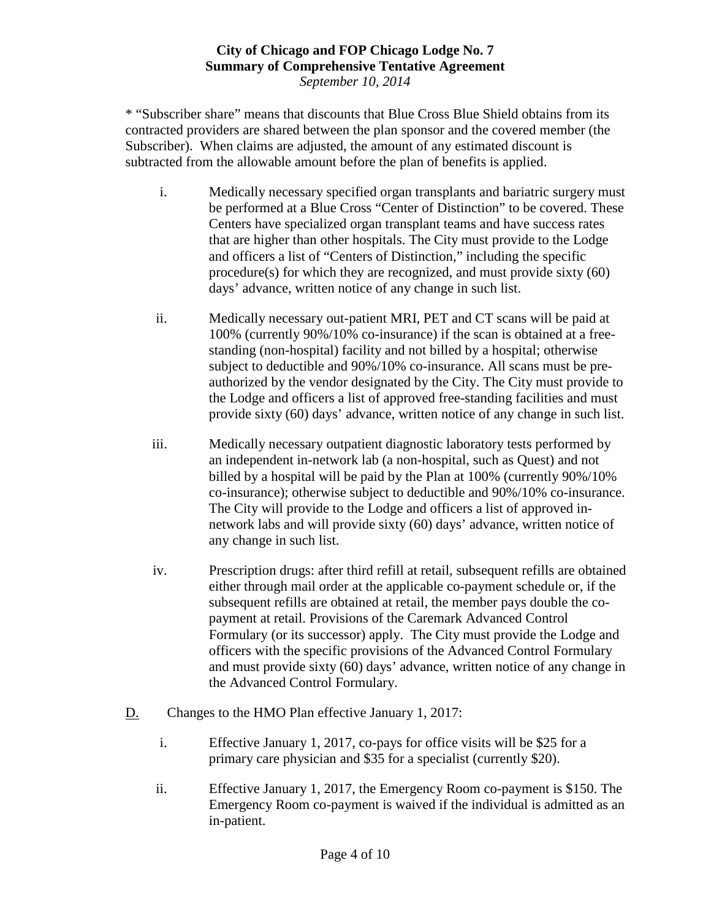\* "Subscriber share" means that discounts that Blue Cross Blue Shield obtains from its contracted providers are shared between the plan sponsor and the covered member (the Subscriber). When claims are adjusted, the amount of any estimated discount is subtracted from the allowable amount before the plan of benefits is applied.

- i. Medically necessary specified organ transplants and bariatric surgery must be performed at a Blue Cross "Center of Distinction" to be covered. These Centers have specialized organ transplant teams and have success rates that are higher than other hospitals. The City must provide to the Lodge and officers a list of "Centers of Distinction," including the specific procedure(s) for which they are recognized, and must provide sixty (60) days' advance, written notice of any change in such list.
- ii. Medically necessary out-patient MRI, PET and CT scans will be paid at 100% (currently 90%/10% co-insurance) if the scan is obtained at a freestanding (non-hospital) facility and not billed by a hospital; otherwise subject to deductible and 90%/10% co-insurance. All scans must be preauthorized by the vendor designated by the City. The City must provide to the Lodge and officers a list of approved free-standing facilities and must provide sixty (60) days' advance, written notice of any change in such list.
- iii. Medically necessary outpatient diagnostic laboratory tests performed by an independent in-network lab (a non-hospital, such as Quest) and not billed by a hospital will be paid by the Plan at 100% (currently 90%/10% co-insurance); otherwise subject to deductible and 90%/10% co-insurance. The City will provide to the Lodge and officers a list of approved innetwork labs and will provide sixty (60) days' advance, written notice of any change in such list.
- iv. Prescription drugs: after third refill at retail, subsequent refills are obtained either through mail order at the applicable co-payment schedule or, if the subsequent refills are obtained at retail, the member pays double the copayment at retail. Provisions of the Caremark Advanced Control Formulary (or its successor) apply. The City must provide the Lodge and officers with the specific provisions of the Advanced Control Formulary and must provide sixty (60) days' advance, written notice of any change in the Advanced Control Formulary.
- D. Changes to the HMO Plan effective January 1, 2017:
	- i. Effective January 1, 2017, co-pays for office visits will be \$25 for a primary care physician and \$35 for a specialist (currently \$20).
	- ii. Effective January 1, 2017, the Emergency Room co-payment is \$150. The Emergency Room co-payment is waived if the individual is admitted as an in-patient.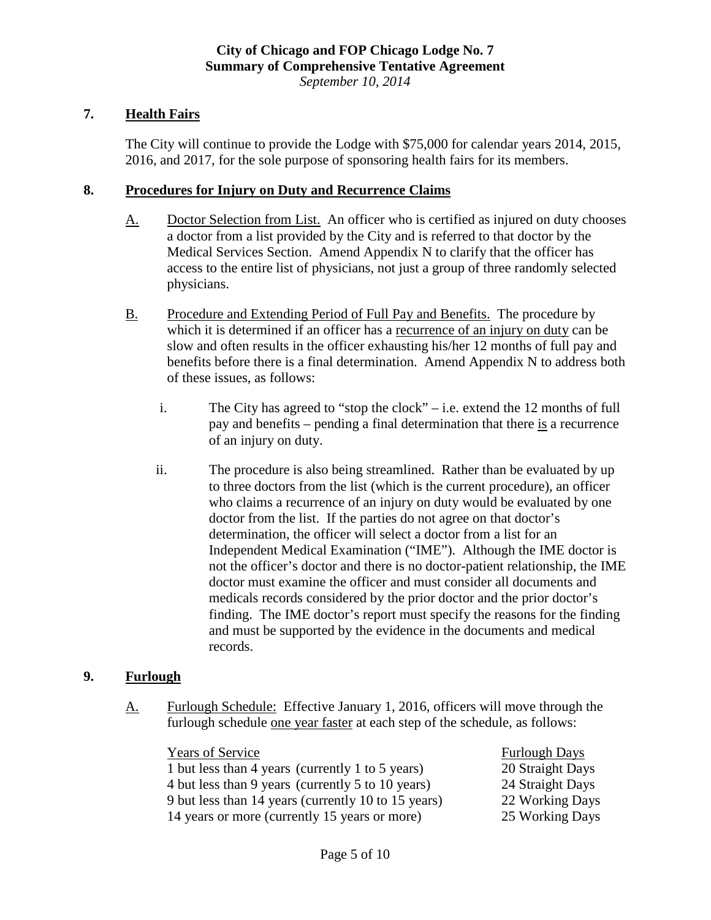## **7. Health Fairs**

The City will continue to provide the Lodge with \$75,000 for calendar years 2014, 2015, 2016, and 2017, for the sole purpose of sponsoring health fairs for its members.

#### **8. Procedures for Injury on Duty and Recurrence Claims**

- A. Doctor Selection from List. An officer who is certified as injured on duty chooses a doctor from a list provided by the City and is referred to that doctor by the Medical Services Section. Amend Appendix N to clarify that the officer has access to the entire list of physicians, not just a group of three randomly selected physicians.
- B. Procedure and Extending Period of Full Pay and Benefits. The procedure by which it is determined if an officer has a recurrence of an injury on duty can be slow and often results in the officer exhausting his/her 12 months of full pay and benefits before there is a final determination. Amend Appendix N to address both of these issues, as follows:
	- i. The City has agreed to "stop the clock" i.e. extend the 12 months of full pay and benefits – pending a final determination that there is a recurrence of an injury on duty.
	- ii. The procedure is also being streamlined. Rather than be evaluated by up to three doctors from the list (which is the current procedure), an officer who claims a recurrence of an injury on duty would be evaluated by one doctor from the list. If the parties do not agree on that doctor's determination, the officer will select a doctor from a list for an Independent Medical Examination ("IME"). Although the IME doctor is not the officer's doctor and there is no doctor-patient relationship, the IME doctor must examine the officer and must consider all documents and medicals records considered by the prior doctor and the prior doctor's finding. The IME doctor's report must specify the reasons for the finding and must be supported by the evidence in the documents and medical records.

#### **9. Furlough**

A. Furlough Schedule: Effective January 1, 2016, officers will move through the furlough schedule one year faster at each step of the schedule, as follows:

Years of Service Furlough Days 1 but less than 4 years (currently 1 to 5 years) 20 Straight Days 4 but less than 9 years (currently 5 to 10 years) 24 Straight Days 9 but less than 14 years (currently 10 to 15 years) 22 Working Days 14 years or more (currently 15 years or more) 25 Working Days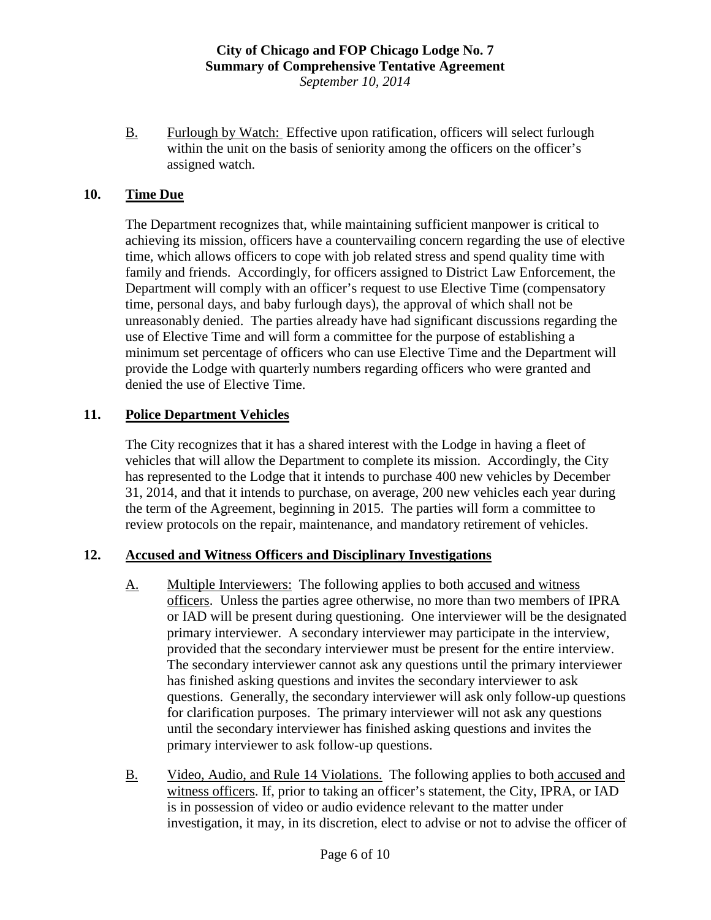B. Furlough by Watch: Effective upon ratification, officers will select furlough within the unit on the basis of seniority among the officers on the officer's assigned watch.

## **10. Time Due**

The Department recognizes that, while maintaining sufficient manpower is critical to achieving its mission, officers have a countervailing concern regarding the use of elective time, which allows officers to cope with job related stress and spend quality time with family and friends. Accordingly, for officers assigned to District Law Enforcement, the Department will comply with an officer's request to use Elective Time (compensatory time, personal days, and baby furlough days), the approval of which shall not be unreasonably denied. The parties already have had significant discussions regarding the use of Elective Time and will form a committee for the purpose of establishing a minimum set percentage of officers who can use Elective Time and the Department will provide the Lodge with quarterly numbers regarding officers who were granted and denied the use of Elective Time.

## **11. Police Department Vehicles**

The City recognizes that it has a shared interest with the Lodge in having a fleet of vehicles that will allow the Department to complete its mission. Accordingly, the City has represented to the Lodge that it intends to purchase 400 new vehicles by December 31, 2014, and that it intends to purchase, on average, 200 new vehicles each year during the term of the Agreement, beginning in 2015. The parties will form a committee to review protocols on the repair, maintenance, and mandatory retirement of vehicles.

## **12. Accused and Witness Officers and Disciplinary Investigations**

- A. Multiple Interviewers: The following applies to both accused and witness officers. Unless the parties agree otherwise, no more than two members of IPRA or IAD will be present during questioning. One interviewer will be the designated primary interviewer. A secondary interviewer may participate in the interview, provided that the secondary interviewer must be present for the entire interview. The secondary interviewer cannot ask any questions until the primary interviewer has finished asking questions and invites the secondary interviewer to ask questions. Generally, the secondary interviewer will ask only follow-up questions for clarification purposes. The primary interviewer will not ask any questions until the secondary interviewer has finished asking questions and invites the primary interviewer to ask follow-up questions.
- B. Video, Audio, and Rule 14 Violations.The following applies to both accused and witness officers. If, prior to taking an officer's statement, the City, IPRA, or IAD is in possession of video or audio evidence relevant to the matter under investigation, it may, in its discretion, elect to advise or not to advise the officer of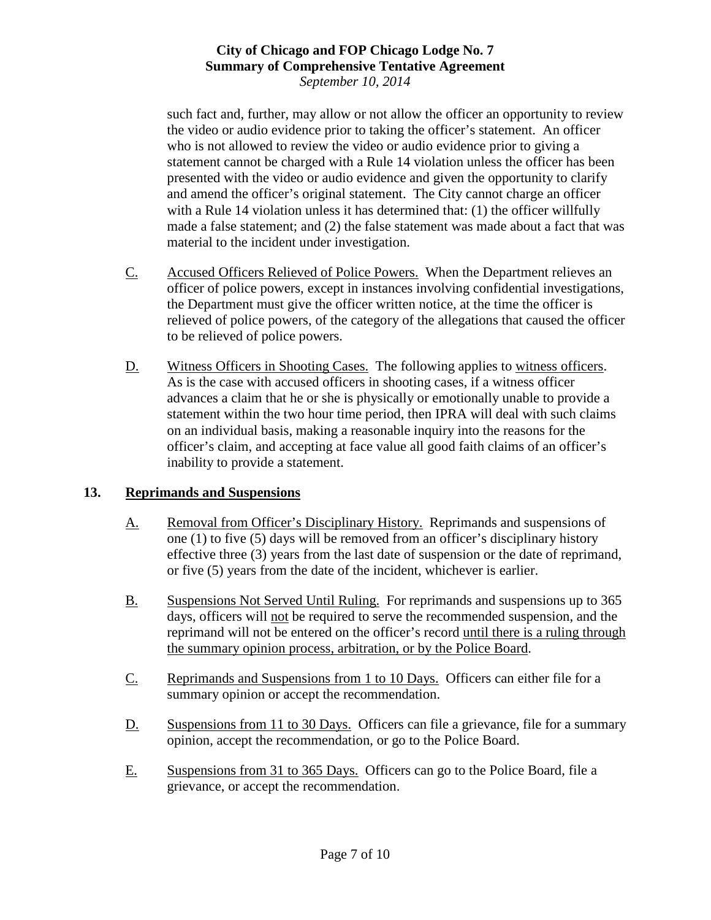such fact and, further, may allow or not allow the officer an opportunity to review the video or audio evidence prior to taking the officer's statement. An officer who is not allowed to review the video or audio evidence prior to giving a statement cannot be charged with a Rule 14 violation unless the officer has been presented with the video or audio evidence and given the opportunity to clarify and amend the officer's original statement. The City cannot charge an officer with a Rule 14 violation unless it has determined that: (1) the officer willfully made a false statement; and (2) the false statement was made about a fact that was material to the incident under investigation.

- C. Accused Officers Relieved of Police Powers. When the Department relieves an officer of police powers, except in instances involving confidential investigations, the Department must give the officer written notice, at the time the officer is relieved of police powers, of the category of the allegations that caused the officer to be relieved of police powers.
- D. Witness Officers in Shooting Cases.The following applies to witness officers. As is the case with accused officers in shooting cases, if a witness officer advances a claim that he or she is physically or emotionally unable to provide a statement within the two hour time period, then IPRA will deal with such claims on an individual basis, making a reasonable inquiry into the reasons for the officer's claim, and accepting at face value all good faith claims of an officer's inability to provide a statement.

## **13. Reprimands and Suspensions**

- A. Removal from Officer's Disciplinary History. Reprimands and suspensions of one (1) to five (5) days will be removed from an officer's disciplinary history effective three (3) years from the last date of suspension or the date of reprimand, or five (5) years from the date of the incident, whichever is earlier.
- B. Suspensions Not Served Until Ruling. For reprimands and suspensions up to 365 days, officers will not be required to serve the recommended suspension, and the reprimand will not be entered on the officer's record until there is a ruling through the summary opinion process, arbitration, or by the Police Board.
- C. Reprimands and Suspensions from 1 to 10 Days.Officers can either file for a summary opinion or accept the recommendation.
- D. Suspensions from 11 to 30 Days. Officers can file a grievance, file for a summary opinion, accept the recommendation, or go to the Police Board.
- E. Suspensions from 31 to 365 Days. Officers can go to the Police Board, file a grievance, or accept the recommendation.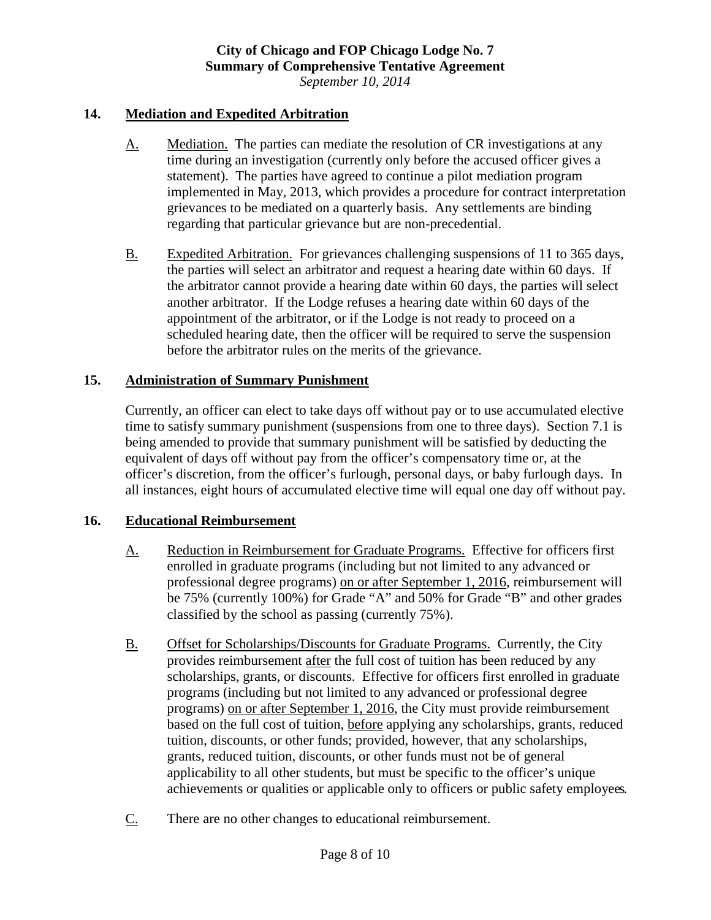#### **14. Mediation and Expedited Arbitration**

- A. Mediation. The parties can mediate the resolution of CR investigations at any time during an investigation (currently only before the accused officer gives a statement). The parties have agreed to continue a pilot mediation program implemented in May, 2013, which provides a procedure for contract interpretation grievances to be mediated on a quarterly basis. Any settlements are binding regarding that particular grievance but are non-precedential.
- B. Expedited Arbitration.For grievances challenging suspensions of 11 to 365 days, the parties will select an arbitrator and request a hearing date within 60 days. If the arbitrator cannot provide a hearing date within 60 days, the parties will select another arbitrator. If the Lodge refuses a hearing date within 60 days of the appointment of the arbitrator, or if the Lodge is not ready to proceed on a scheduled hearing date, then the officer will be required to serve the suspension before the arbitrator rules on the merits of the grievance.

## **15. Administration of Summary Punishment**

Currently, an officer can elect to take days off without pay or to use accumulated elective time to satisfy summary punishment (suspensions from one to three days). Section 7.1 is being amended to provide that summary punishment will be satisfied by deducting the equivalent of days off without pay from the officer's compensatory time or, at the officer's discretion, from the officer's furlough, personal days, or baby furlough days. In all instances, eight hours of accumulated elective time will equal one day off without pay.

#### **16. Educational Reimbursement**

- A. Reduction in Reimbursement for Graduate Programs. Effective for officers first enrolled in graduate programs (including but not limited to any advanced or professional degree programs) on or after September 1, 2016, reimbursement will be 75% (currently 100%) for Grade "A" and 50% for Grade "B" and other grades classified by the school as passing (currently 75%).
- B. Offset for Scholarships/Discounts for Graduate Programs. Currently, the City provides reimbursement after the full cost of tuition has been reduced by any scholarships, grants, or discounts. Effective for officers first enrolled in graduate programs (including but not limited to any advanced or professional degree programs) on or after September 1, 2016, the City must provide reimbursement based on the full cost of tuition, before applying any scholarships, grants, reduced tuition, discounts, or other funds; provided, however, that any scholarships, grants, reduced tuition, discounts, or other funds must not be of general applicability to all other students, but must be specific to the officer's unique achievements or qualities or applicable only to officers or public safety employees.
- C. There are no other changes to educational reimbursement.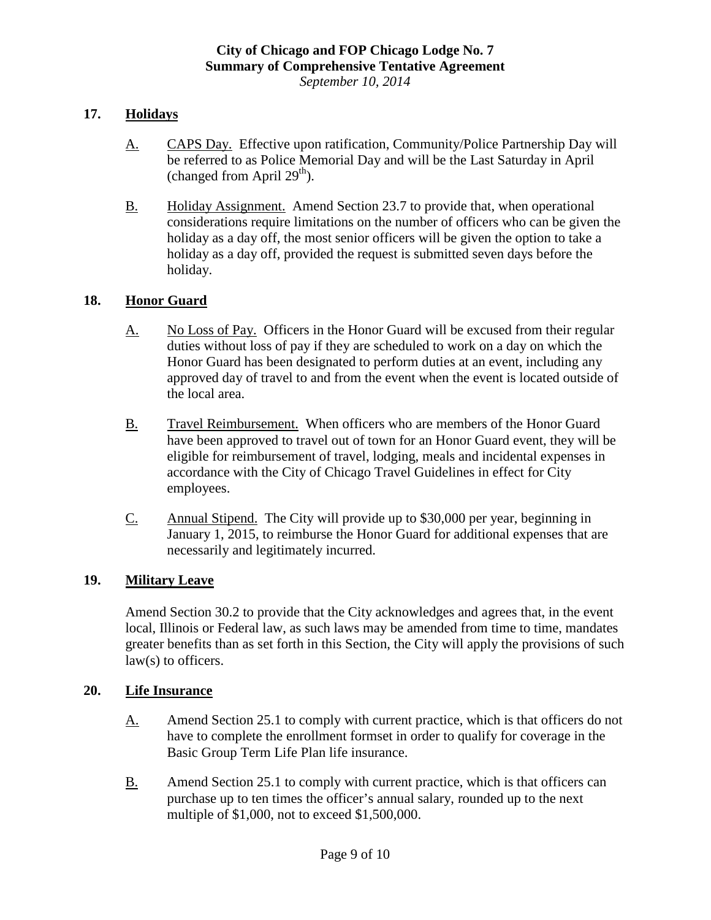## **17. Holidays**

- A. CAPS Day. Effective upon ratification, Community/Police Partnership Day will be referred to as Police Memorial Day and will be the Last Saturday in April (changed from April  $29<sup>th</sup>$ ).
- B. Holiday Assignment.Amend Section 23.7 to provide that, when operational considerations require limitations on the number of officers who can be given the holiday as a day off, the most senior officers will be given the option to take a holiday as a day off, provided the request is submitted seven days before the holiday.

## **18. Honor Guard**

- A. No Loss of Pay. Officers in the Honor Guard will be excused from their regular duties without loss of pay if they are scheduled to work on a day on which the Honor Guard has been designated to perform duties at an event, including any approved day of travel to and from the event when the event is located outside of the local area.
- B. Travel Reimbursement. When officers who are members of the Honor Guard have been approved to travel out of town for an Honor Guard event, they will be eligible for reimbursement of travel, lodging, meals and incidental expenses in accordance with the City of Chicago Travel Guidelines in effect for City employees.
- C. Annual Stipend. The City will provide up to \$30,000 per year, beginning in January 1, 2015, to reimburse the Honor Guard for additional expenses that are necessarily and legitimately incurred.

## **19. Military Leave**

Amend Section 30.2 to provide that the City acknowledges and agrees that, in the event local, Illinois or Federal law, as such laws may be amended from time to time, mandates greater benefits than as set forth in this Section, the City will apply the provisions of such law(s) to officers.

#### **20. Life Insurance**

- A. Amend Section 25.1 to comply with current practice, which is that officers do not have to complete the enrollment formset in order to qualify for coverage in the Basic Group Term Life Plan life insurance.
- B. Amend Section 25.1 to comply with current practice, which is that officers can purchase up to ten times the officer's annual salary, rounded up to the next multiple of \$1,000, not to exceed \$1,500,000.